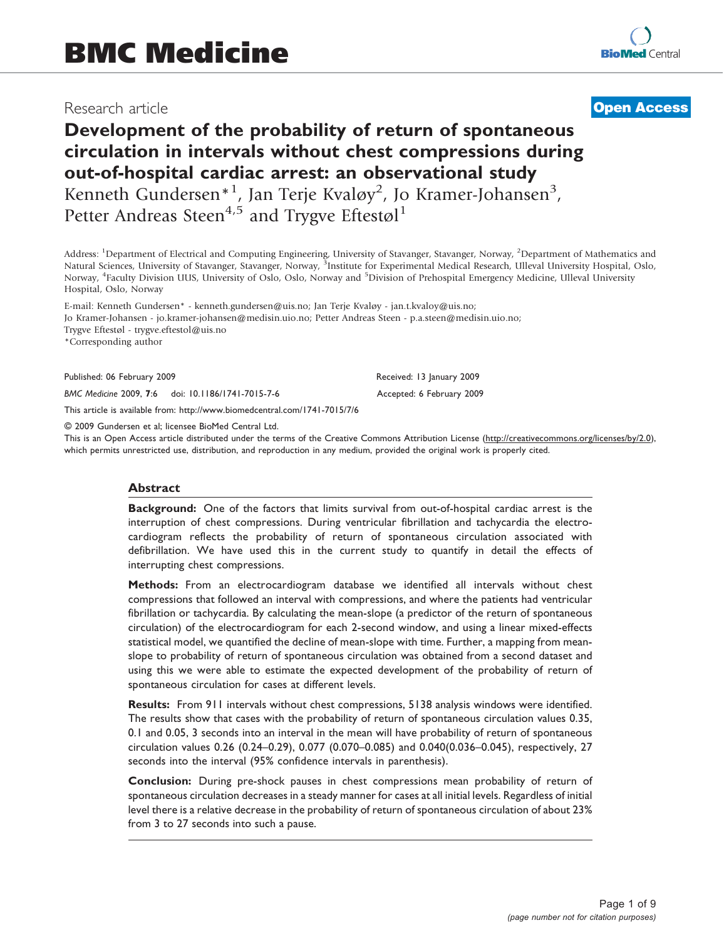# Research article

# **[Open Access](http://www.biomedcentral.com/info/about/charter/)**

# Development of the probability of return of spontaneous circulation in intervals without chest compressions during out-of-hospital cardiac arrest: an observational study Kenneth Gundersen<sup>\*1</sup>, Jan Terje Kvaløy<sup>2</sup>, Jo Kramer-Johansen<sup>3</sup>,

Petter Andreas Steen<sup>4,5</sup> and Trygve Eftestøl<sup>1</sup>

Address: <sup>1</sup>Department of Electrical and Computing Engineering, University of Stavanger, Stavanger, Norway, <sup>2</sup>Department of Mathematics and Natural Sciences, University of Stavanger, Stavanger, Norway, <sup>3</sup>Institute for Experimental Medical Research, Ulleval University Hospital, Oslo, Norway, <sup>4</sup>Faculty Division UUS, University of Oslo, Oslo, Norway and <sup>5</sup>Division of Prehospital Emergency Medicine, Ulleval University Hospital, Oslo, Norway

E-mail: Kenneth Gundersen\* - kenneth.gundersen@uis.no; Jan Terje Kvaløy - jan.t.kvaloy@uis.no; Jo Kramer-Johansen - jo.kramer-johansen@medisin.uio.no; Petter Andreas Steen - p.a.steen@medisin.uio.no; Trygve Eftestøl - trygve.eftestol@uis.no \*Corresponding author

Published: 06 February 2009 Received: 13 January 2009

BMC Medicine 2009, 7:6 doi: 10.1186/1741-7015-7-6 Accepted: 6 February 2009

This article is available from: http://www.biomedcentral.com/1741-7015/7/6

© 2009 Gundersen et al; licensee BioMed Central Ltd.

This is an Open Access article distributed under the terms of the Creative Commons Attribution License [\(http://creativecommons.org/licenses/by/2.0\)](http://creativecommons.org/licenses/by/2.0), which permits unrestricted use, distribution, and reproduction in any medium, provided the original work is properly cited.

#### Abstract

Background: One of the factors that limits survival from out-of-hospital cardiac arrest is the interruption of chest compressions. During ventricular fibrillation and tachycardia the electrocardiogram reflects the probability of return of spontaneous circulation associated with defibrillation. We have used this in the current study to quantify in detail the effects of interrupting chest compressions.

Methods: From an electrocardiogram database we identified all intervals without chest compressions that followed an interval with compressions, and where the patients had ventricular fibrillation or tachycardia. By calculating the mean-slope (a predictor of the return of spontaneous circulation) of the electrocardiogram for each 2-second window, and using a linear mixed-effects statistical model, we quantified the decline of mean-slope with time. Further, a mapping from meanslope to probability of return of spontaneous circulation was obtained from a second dataset and using this we were able to estimate the expected development of the probability of return of spontaneous circulation for cases at different levels.

Results: From 911 intervals without chest compressions, 5138 analysis windows were identified. The results show that cases with the probability of return of spontaneous circulation values 0.35, 0.1 and 0.05, 3 seconds into an interval in the mean will have probability of return of spontaneous circulation values 0.26 (0.24–0.29), 0.077 (0.070–0.085) and 0.040(0.036–0.045), respectively, 27 seconds into the interval (95% confidence intervals in parenthesis).

Conclusion: During pre-shock pauses in chest compressions mean probability of return of spontaneous circulation decreases in a steady manner for cases at all initial levels. Regardless of initial level there is a relative decrease in the probability of return of spontaneous circulation of about 23% from 3 to 27 seconds into such a pause.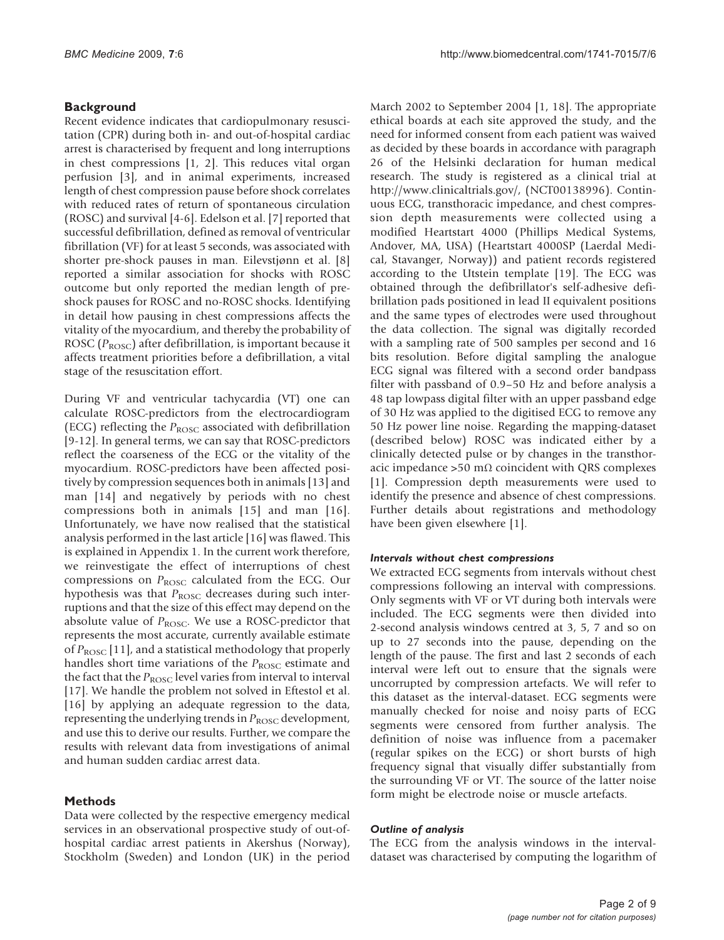## **Background**

Recent evidence indicates that cardiopulmonary resuscitation (CPR) during both in- and out-of-hospital cardiac arrest is characterised by frequent and long interruptions in chest compressions [[1](#page-7-0), [2](#page-7-0)]. This reduces vital organ perfusion [[3](#page-7-0)], and in animal experiments, increased length of chest compression pause before shock correlates with reduced rates of return of spontaneous circulation (ROSC) and survival [\[4-6](#page-7-0)]. Edelson et al. [[7\]](#page-7-0) reported that successful defibrillation, defined as removal of ventricular fibrillation (VF) for at least 5 seconds, was associated with shorter pre-shock pauses in man. Eilevstjønn et al. [\[8\]](#page-7-0) reported a similar association for shocks with ROSC outcome but only reported the median length of preshock pauses for ROSC and no-ROSC shocks. Identifying in detail how pausing in chest compressions affects the vitality of the myocardium, and thereby the probability of ROSC ( $P_{\text{ROSC}}$ ) after defibrillation, is important because it affects treatment priorities before a defibrillation, a vital stage of the resuscitation effort.

During VF and ventricular tachycardia (VT) one can calculate ROSC-predictors from the electrocardiogram (ECG) reflecting the  $P_{\text{ROSC}}$  associated with defibrillation [[9-12](#page-7-0)]. In general terms, we can say that ROSC-predictors reflect the coarseness of the ECG or the vitality of the myocardium. ROSC-predictors have been affected positively by compression sequences both in animals [[13\]](#page-7-0) and man [[14](#page-7-0)] and negatively by periods with no chest compressions both in animals [[15\]](#page-8-0) and man [[16](#page-8-0)]. Unfortunately, we have now realised that the statistical analysis performed in the last article [[16](#page-8-0)] was flawed. This is explained in Appendix 1. In the current work therefore, we reinvestigate the effect of interruptions of chest compressions on  $P_{\text{ROSC}}$  calculated from the ECG. Our hypothesis was that  $P_{\text{ROSC}}$  decreases during such interruptions and that the size of this effect may depend on the absolute value of  $P_{\text{ROSC}}$ . We use a ROSC-predictor that represents the most accurate, currently available estimate of  $P_{\text{ROSC}}$  [\[11](#page-7-0)], and a statistical methodology that properly handles short time variations of the  $P_{\text{ROSC}}$  estimate and the fact that the  $P_{\text{ROSC}}$  level varies from interval to interval [[17\]](#page-8-0). We handle the problem not solved in Eftestol et al. [[16\]](#page-8-0) by applying an adequate regression to the data, representing the underlying trends in  $P_{\rm{ROSC}}$  development, and use this to derive our results. Further, we compare the results with relevant data from investigations of animal and human sudden cardiac arrest data.

## Methods

Data were collected by the respective emergency medical services in an observational prospective study of out-ofhospital cardiac arrest patients in Akershus (Norway), Stockholm (Sweden) and London (UK) in the period

March 2002 to September 2004 [\[1,](#page-7-0) [18](#page-8-0)]. The appropriate ethical boards at each site approved the study, and the need for informed consent from each patient was waived as decided by these boards in accordance with paragraph 26 of the Helsinki declaration for human medical research. The study is registered as a clinical trial at [http://www.clinicaltrials.gov/,](http://www.clinicaltrials.gov/) (NCT00138996). Continuous ECG, transthoracic impedance, and chest compression depth measurements were collected using a modified Heartstart 4000 (Phillips Medical Systems, Andover, MA, USA) (Heartstart 4000SP (Laerdal Medical, Stavanger, Norway)) and patient records registered according to the Utstein template [[19\]](#page-8-0). The ECG was obtained through the defibrillator's self-adhesive defibrillation pads positioned in lead II equivalent positions and the same types of electrodes were used throughout the data collection. The signal was digitally recorded with a sampling rate of 500 samples per second and 16 bits resolution. Before digital sampling the analogue ECG signal was filtered with a second order bandpass filter with passband of 0.9–50 Hz and before analysis a 48 tap lowpass digital filter with an upper passband edge of 30 Hz was applied to the digitised ECG to remove any 50 Hz power line noise. Regarding the mapping-dataset (described below) ROSC was indicated either by a clinically detected pulse or by changes in the transthoracic impedance >50 m $\Omega$  coincident with QRS complexes [[1](#page-7-0)]. Compression depth measurements were used to identify the presence and absence of chest compressions. Further details about registrations and methodology have been given elsewhere [[1](#page-7-0)].

#### Intervals without chest compressions

We extracted ECG segments from intervals without chest compressions following an interval with compressions. Only segments with VF or VT during both intervals were included. The ECG segments were then divided into 2-second analysis windows centred at 3, 5, 7 and so on up to 27 seconds into the pause, depending on the length of the pause. The first and last 2 seconds of each interval were left out to ensure that the signals were uncorrupted by compression artefacts. We will refer to this dataset as the interval-dataset. ECG segments were manually checked for noise and noisy parts of ECG segments were censored from further analysis. The definition of noise was influence from a pacemaker (regular spikes on the ECG) or short bursts of high frequency signal that visually differ substantially from the surrounding VF or VT. The source of the latter noise form might be electrode noise or muscle artefacts.

#### Outline of analysis

The ECG from the analysis windows in the intervaldataset was characterised by computing the logarithm of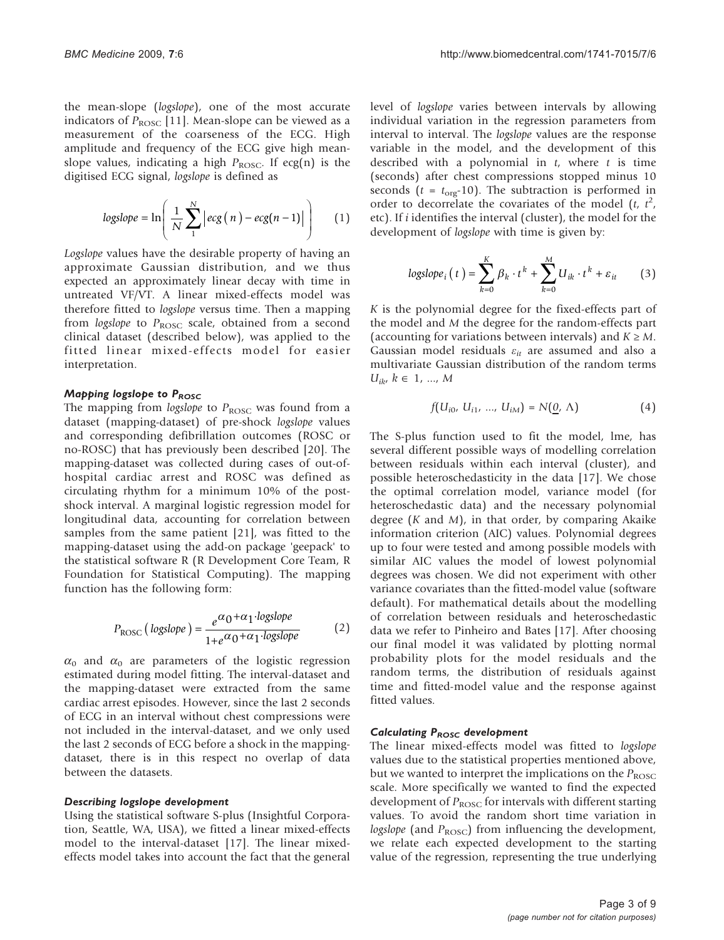the mean-slope (logslope), one of the most accurate indicators of  $P_{\text{ROSC}}$  [[11\]](#page-7-0). Mean-slope can be viewed as a measurement of the coarseness of the ECG. High amplitude and frequency of the ECG give high meanslope values, indicating a high  $P_{\text{ROSC}}$ . If ecg(n) is the digitised ECG signal, logslope is defined as

$$
log slope = \ln \left( \frac{1}{N} \sum_{1}^{N} \left| ecg(n) - ecg(n-1) \right| \right) \tag{1}
$$

Logslope values have the desirable property of having an approximate Gaussian distribution, and we thus expected an approximately linear decay with time in untreated VF/VT. A linear mixed-effects model was therefore fitted to logslope versus time. Then a mapping from logslope to  $P_{\text{ROSC}}$  scale, obtained from a second clinical dataset (described below), was applied to the fitted linear mixed-effects model for easier interpretation.

### Mapping logslope to PROSC

The mapping from logslope to  $P_{\text{ROSC}}$  was found from a dataset (mapping-dataset) of pre-shock logslope values and corresponding defibrillation outcomes (ROSC or no-ROSC) that has previously been described [\[20](#page-8-0)]. The mapping-dataset was collected during cases of out-ofhospital cardiac arrest and ROSC was defined as circulating rhythm for a minimum 10% of the postshock interval. A marginal logistic regression model for longitudinal data, accounting for correlation between samples from the same patient [[21\]](#page-8-0), was fitted to the mapping-dataset using the add-on package 'geepack' to the statistical software R (R Development Core Team, R Foundation for Statistical Computing). The mapping function has the following form:

$$
P_{\text{ROSC}}\left(\text{logslope}\right) = \frac{e^{\alpha_0 + \alpha_1 \cdot \text{logslope}}}{1 + e^{\alpha_0 + \alpha_1 \cdot \text{logslope}}}
$$
(2)

 $\alpha_0$  and  $\alpha_0$  are parameters of the logistic regression estimated during model fitting. The interval-dataset and the mapping-dataset were extracted from the same cardiac arrest episodes. However, since the last 2 seconds of ECG in an interval without chest compressions were not included in the interval-dataset, and we only used the last 2 seconds of ECG before a shock in the mappingdataset, there is in this respect no overlap of data between the datasets.

#### Describing logslope development

Using the statistical software S-plus (Insightful Corporation, Seattle, WA, USA), we fitted a linear mixed-effects model to the interval-dataset [\[17](#page-8-0)]. The linear mixedeffects model takes into account the fact that the general

level of logslope varies between intervals by allowing individual variation in the regression parameters from interval to interval. The logslope values are the response variable in the model, and the development of this described with a polynomial in  $t$ , where  $t$  is time (seconds) after chest compressions stopped minus 10 seconds ( $t = t_{\text{org}}$ -10). The subtraction is performed in order to decorrelate the covariates of the model  $(t, t^2, t^2)$ <br>etc) If identifies the interval (cluster), the model for the etc). If i identifies the interval (cluster), the model for the development of *logslope* with time is given by:

$$
log slope_i(t) = \sum_{k=0}^{K} \beta_k \cdot t^k + \sum_{k=0}^{M} U_{ik} \cdot t^k + \varepsilon_{it}
$$
 (3)

K is the polynomial degree for the fixed-effects part of the model and M the degree for the random-effects part (accounting for variations between intervals) and  $K \geq M$ . Gaussian model residuals  $\varepsilon_{it}$  are assumed and also a multivariate Gaussian distribution of the random terms  $U_{ik}, k \in 1, ..., M$ 

$$
f(U_{i0}, U_{i1}, ..., U_{iM}) = N(\underline{0}, \Lambda)
$$
 (4)

The S-plus function used to fit the model, lme, has several different possible ways of modelling correlation between residuals within each interval (cluster), and possible heteroschedasticity in the data [[17](#page-8-0)]. We chose the optimal correlation model, variance model (for heteroschedastic data) and the necessary polynomial degree  $(K$  and  $M)$ , in that order, by comparing Akaike information criterion (AIC) values. Polynomial degrees up to four were tested and among possible models with similar AIC values the model of lowest polynomial degrees was chosen. We did not experiment with other variance covariates than the fitted-model value (software default). For mathematical details about the modelling of correlation between residuals and heteroschedastic data we refer to Pinheiro and Bates [[17\]](#page-8-0). After choosing our final model it was validated by plotting normal probability plots for the model residuals and the random terms, the distribution of residuals against time and fitted-model value and the response against fitted values.

#### Calculating  $P_{ROSC}$  development

The linear mixed-effects model was fitted to logslope values due to the statistical properties mentioned above, but we wanted to interpret the implications on the  $P_{\text{ROSC}}$ scale. More specifically we wanted to find the expected development of  $P_{\text{ROSC}}$  for intervals with different starting values. To avoid the random short time variation in logslope (and  $P_{\text{ROSC}}$ ) from influencing the development, we relate each expected development to the starting value of the regression, representing the true underlying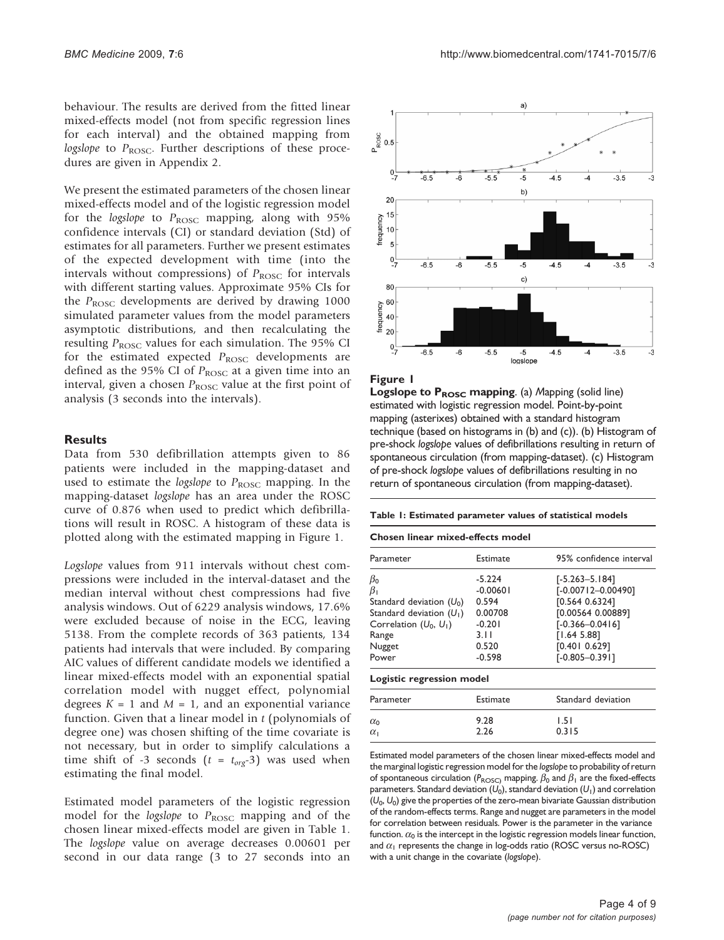<span id="page-3-0"></span>behaviour. The results are derived from the fitted linear mixed-effects model (not from specific regression lines for each interval) and the obtained mapping from logslope to  $P_{\text{ROSC}}$ . Further descriptions of these procedures are given in Appendix 2.

We present the estimated parameters of the chosen linear mixed-effects model and of the logistic regression model for the logslope to  $P_{\rm{ROSC}}$  mapping, along with 95% confidence intervals (CI) or standard deviation (Std) of estimates for all parameters. Further we present estimates of the expected development with time (into the intervals without compressions) of  $P_{\text{ROSC}}$  for intervals with different starting values. Approximate 95% CIs for the  $P_{\text{ROSC}}$  developments are derived by drawing 1000 simulated parameter values from the model parameters asymptotic distributions, and then recalculating the resulting  $P_{\text{ROSC}}$  values for each simulation. The 95% CI for the estimated expected  $P_{\text{ROSC}}$  developments are defined as the 95% CI of  $P_{\text{ROSC}}$  at a given time into an interval, given a chosen  $P_{\text{ROSC}}$  value at the first point of analysis (3 seconds into the intervals).

## **Results**

Data from 530 defibrillation attempts given to 86 patients were included in the mapping-dataset and used to estimate the logslope to  $P_{\text{ROSC}}$  mapping. In the mapping-dataset logslope has an area under the ROSC curve of 0.876 when used to predict which defibrillations will result in ROSC. A histogram of these data is plotted along with the estimated mapping in Figure 1.

Logslope values from 911 intervals without chest compressions were included in the interval-dataset and the median interval without chest compressions had five analysis windows. Out of 6229 analysis windows, 17.6% were excluded because of noise in the ECG, leaving 5138. From the complete records of 363 patients, 134 patients had intervals that were included. By comparing AIC values of different candidate models we identified a linear mixed-effects model with an exponential spatial correlation model with nugget effect, polynomial degrees  $K = 1$  and  $M = 1$ , and an exponential variance function. Given that a linear model in  $t$  (polynomials of degree one) was chosen shifting of the time covariate is not necessary, but in order to simplify calculations a time shift of -3 seconds ( $t = t_{org}$ -3) was used when estimating the final model.

Estimated model parameters of the logistic regression model for the *logslope* to  $P_{\text{ROSC}}$  mapping and of the chosen linear mixed-effects model are given in Table 1. The logslope value on average decreases 0.00601 per second in our data range (3 to 27 seconds into an



#### Figure 1

**Logslope to**  $P_{\text{ROSC}}$  **mapping.** (a) Mapping (solid line) estimated with logistic regression model. Point-by-point mapping (asterixes) obtained with a standard histogram technique (based on histograms in (b) and (c)). (b) Histogram of pre-shock logslope values of defibrillations resulting in return of spontaneous circulation (from mapping-dataset). (c) Histogram of pre-shock logslope values of defibrillations resulting in no return of spontaneous circulation (from mapping-dataset).

#### Table 1: Estimated parameter values of statistical models

| Chosen linear mixed-effects model                                                                                                            |                                                                                     |                                                                                                                                                                 |
|----------------------------------------------------------------------------------------------------------------------------------------------|-------------------------------------------------------------------------------------|-----------------------------------------------------------------------------------------------------------------------------------------------------------------|
| Parameter                                                                                                                                    | Estimate                                                                            | 95% confidence interval                                                                                                                                         |
| $\beta_{0}$<br>$\beta_1$<br>Standard deviation $(U_0)$<br>Standard deviation $(U_1)$<br>Correlation $(U_0, U_1)$<br>Range<br>Nugget<br>Power | $-5.224$<br>$-0.00601$<br>0.594<br>0.00708<br>$-0.201$<br>3.11<br>0.520<br>$-0.598$ | $[-5.263 - 5.184]$<br>$[-0.00712 - 0.00490]$<br>[0.564 0.6324]<br>[0.00564 0.00889]<br>$[-0.366 - 0.0416]$<br>[1.64 5.88]<br>[0.401 0.629]<br>$[-0.805 - 0.39]$ |
| Logistic regression model                                                                                                                    |                                                                                     |                                                                                                                                                                 |
| Parameter                                                                                                                                    | Estimate                                                                            | Standard deviation                                                                                                                                              |
| $\alpha_0$<br>$\alpha_1$                                                                                                                     | 9.28<br>2.26                                                                        | 1.51<br>0.315                                                                                                                                                   |

Estimated model parameters of the chosen linear mixed-effects model and the marginal logistic regression model for the logslope to probability of return of spontaneous circulation ( $P_{\text{ROSC}}$ ) mapping.  $\beta_0$  and  $\beta_1$  are the fixed-effects parameters. Standard deviation  $(U_0)$ , standard deviation  $(U_1)$  and correlation  $(U_0, U_0)$  give the properties of the zero-mean bivariate Gaussian distribution of the random-effects terms. Range and nugget are parameters in the model for correlation between residuals. Power is the parameter in the variance function.  $\alpha_0$  is the intercept in the logistic regression models linear function, and  $\alpha_1$  represents the change in log-odds ratio (ROSC versus no-ROSC) with a unit change in the covariate (logslope).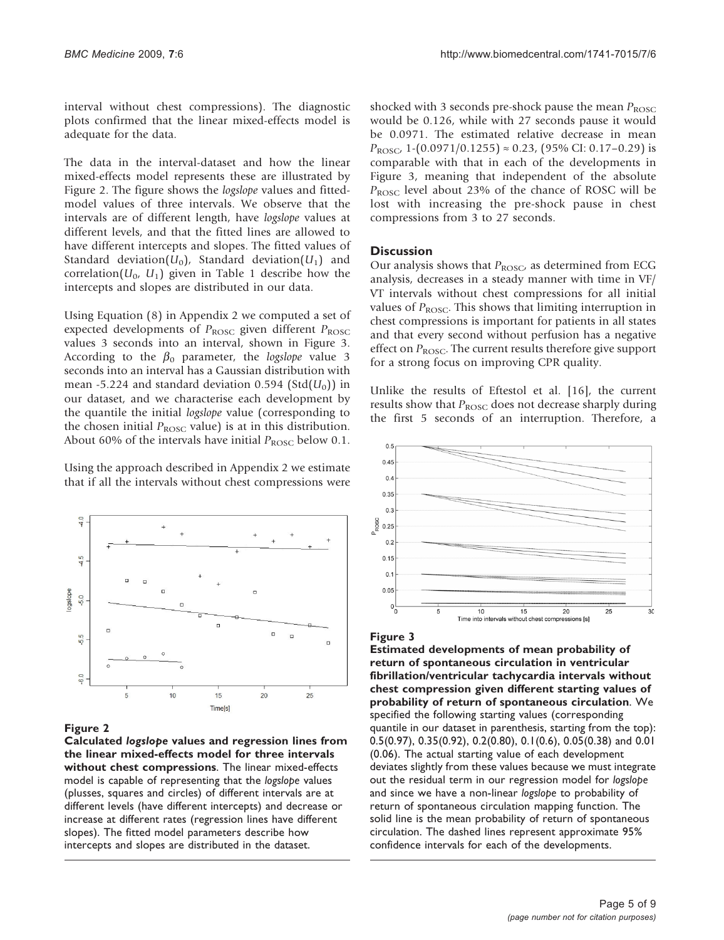interval without chest compressions). The diagnostic plots confirmed that the linear mixed-effects model is adequate for the data.

The data in the interval-dataset and how the linear mixed-effects model represents these are illustrated by Figure 2. The figure shows the *logslope* values and fittedmodel values of three intervals. We observe that the intervals are of different length, have logslope values at different levels, and that the fitted lines are allowed to have different intercepts and slopes. The fitted values of Standard deviation( $U_0$ ), Standard deviation( $U_1$ ) and correlation( $U_0$ ,  $U_1$ ) given in Table [1](#page-3-0) describe how the intercepts and slopes are distributed in our data.

Using Equation (8) in Appendix 2 we computed a set of expected developments of  $P_{\text{ROSC}}$  given different  $P_{\text{ROSC}}$ values 3 seconds into an interval, shown in Figure 3. According to the  $\beta_0$  parameter, the *logslope* value 3 seconds into an interval has a Gaussian distribution with mean -5.224 and standard deviation 0.594 (Std $(U_0)$ ) in our dataset, and we characterise each development by the quantile the initial logslope value (corresponding to the chosen initial  $P_{\text{ROSC}}$  value) is at in this distribution. About 60% of the intervals have initial  $P_{\text{ROSC}}$  below 0.1.

Using the approach described in Appendix 2 we estimate that if all the intervals without chest compressions were



#### Figure 2

Calculated logslope values and regression lines from the linear mixed-effects model for three intervals without chest compressions. The linear mixed-effects model is capable of representing that the logslope values (plusses, squares and circles) of different intervals are at different levels (have different intercepts) and decrease or increase at different rates (regression lines have different slopes). The fitted model parameters describe how intercepts and slopes are distributed in the dataset.

shocked with 3 seconds pre-shock pause the mean  $P_{\text{ROSC}}$ would be 0.126, while with 27 seconds pause it would be 0.0971. The estimated relative decrease in mean  $P_{\text{ROSC}}$ , 1-(0.0971/0.1255)  $\approx$  0.23, (95% CI: 0.17–0.29) is comparable with that in each of the developments in Figure 3, meaning that independent of the absolute  $P_{\text{ROSC}}$  level about 23% of the chance of ROSC will be lost with increasing the pre-shock pause in chest compressions from 3 to 27 seconds.

## **Discussion**

Our analysis shows that  $P_{\text{ROSC}}$ , as determined from ECG analysis, decreases in a steady manner with time in VF/ VT intervals without chest compressions for all initial values of  $P_{\text{ROSC}}$ . This shows that limiting interruption in chest compressions is important for patients in all states and that every second without perfusion has a negative effect on  $P_{\text{ROSC}}$ . The current results therefore give support for a strong focus on improving CPR quality.

Unlike the results of Eftestol et al. [[16\]](#page-8-0), the current results show that  $P_{\text{ROSC}}$  does not decrease sharply during the first 5 seconds of an interruption. Therefore, a



#### Figure 3

Estimated developments of mean probability of return of spontaneous circulation in ventricular fibrillation/ventricular tachycardia intervals without chest compression given different starting values of probability of return of spontaneous circulation. We specified the following starting values (corresponding quantile in our dataset in parenthesis, starting from the top): 0.5(0.97), 0.35(0.92), 0.2(0.80), 0.1(0.6), 0.05(0.38) and 0.01 (0.06). The actual starting value of each development deviates slightly from these values because we must integrate out the residual term in our regression model for logslope and since we have a non-linear logslope to probability of return of spontaneous circulation mapping function. The solid line is the mean probability of return of spontaneous circulation. The dashed lines represent approximate 95% confidence intervals for each of the developments.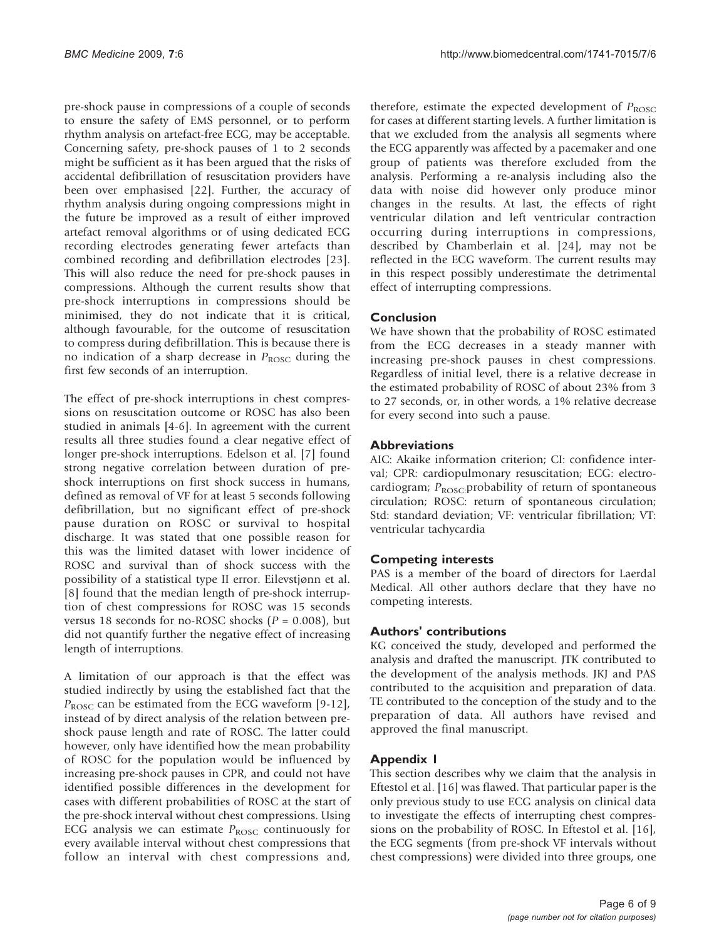pre-shock pause in compressions of a couple of seconds to ensure the safety of EMS personnel, or to perform rhythm analysis on artefact-free ECG, may be acceptable. Concerning safety, pre-shock pauses of 1 to 2 seconds might be sufficient as it has been argued that the risks of accidental defibrillation of resuscitation providers have been over emphasised [[22\]](#page-8-0). Further, the accuracy of rhythm analysis during ongoing compressions might in the future be improved as a result of either improved artefact removal algorithms or of using dedicated ECG recording electrodes generating fewer artefacts than combined recording and defibrillation electrodes [\[23](#page-8-0)]. This will also reduce the need for pre-shock pauses in compressions. Although the current results show that pre-shock interruptions in compressions should be minimised, they do not indicate that it is critical, although favourable, for the outcome of resuscitation to compress during defibrillation. This is because there is no indication of a sharp decrease in  $P_{\text{ROSC}}$  during the first few seconds of an interruption.

The effect of pre-shock interruptions in chest compressions on resuscitation outcome or ROSC has also been studied in animals [[4](#page-7-0)-[6\]](#page-7-0). In agreement with the current results all three studies found a clear negative effect of longer pre-shock interruptions. Edelson et al. [[7](#page-7-0)] found strong negative correlation between duration of preshock interruptions on first shock success in humans, defined as removal of VF for at least 5 seconds following defibrillation, but no significant effect of pre-shock pause duration on ROSC or survival to hospital discharge. It was stated that one possible reason for this was the limited dataset with lower incidence of ROSC and survival than of shock success with the possibility of a statistical type II error. Eilevstjønn et al. [[8](#page-7-0)] found that the median length of pre-shock interruption of chest compressions for ROSC was 15 seconds versus 18 seconds for no-ROSC shocks ( $P = 0.008$ ), but did not quantify further the negative effect of increasing length of interruptions.

A limitation of our approach is that the effect was studied indirectly by using the established fact that the  $P_{\text{ROSC}}$  can be estimated from the ECG waveform [[9-12](#page-7-0)], instead of by direct analysis of the relation between preshock pause length and rate of ROSC. The latter could however, only have identified how the mean probability of ROSC for the population would be influenced by increasing pre-shock pauses in CPR, and could not have identified possible differences in the development for cases with different probabilities of ROSC at the start of the pre-shock interval without chest compressions. Using ECG analysis we can estimate  $P_{\text{ROSC}}$  continuously for every available interval without chest compressions that follow an interval with chest compressions and,

therefore, estimate the expected development of  $P_{\text{ROSC}}$ for cases at different starting levels. A further limitation is that we excluded from the analysis all segments where the ECG apparently was affected by a pacemaker and one group of patients was therefore excluded from the analysis. Performing a re-analysis including also the data with noise did however only produce minor changes in the results. At last, the effects of right ventricular dilation and left ventricular contraction occurring during interruptions in compressions, described by Chamberlain et al. [\[24](#page-8-0)], may not be reflected in the ECG waveform. The current results may in this respect possibly underestimate the detrimental effect of interrupting compressions.

# Conclusion

We have shown that the probability of ROSC estimated from the ECG decreases in a steady manner with increasing pre-shock pauses in chest compressions. Regardless of initial level, there is a relative decrease in the estimated probability of ROSC of about 23% from 3 to 27 seconds, or, in other words, a 1% relative decrease for every second into such a pause.

## **Abbreviations**

AIC: Akaike information criterion; CI: confidence interval; CPR: cardiopulmonary resuscitation; ECG: electrocardiogram;  $P_{\text{ROSC}}$ :probability of return of spontaneous circulation; ROSC: return of spontaneous circulation; Std: standard deviation; VF: ventricular fibrillation; VT: ventricular tachycardia

# Competing interests

PAS is a member of the board of directors for Laerdal Medical. All other authors declare that they have no competing interests.

## Authors' contributions

KG conceived the study, developed and performed the analysis and drafted the manuscript. JTK contributed to the development of the analysis methods. JKJ and PAS contributed to the acquisition and preparation of data. TE contributed to the conception of the study and to the preparation of data. All authors have revised and approved the final manuscript.

# Appendix 1

This section describes why we claim that the analysis in Eftestol et al. [\[16](#page-8-0)] was flawed. That particular paper is the only previous study to use ECG analysis on clinical data to investigate the effects of interrupting chest compressions on the probability of ROSC. In Eftestol et al. [\[16](#page-8-0)], the ECG segments (from pre-shock VF intervals without chest compressions) were divided into three groups, one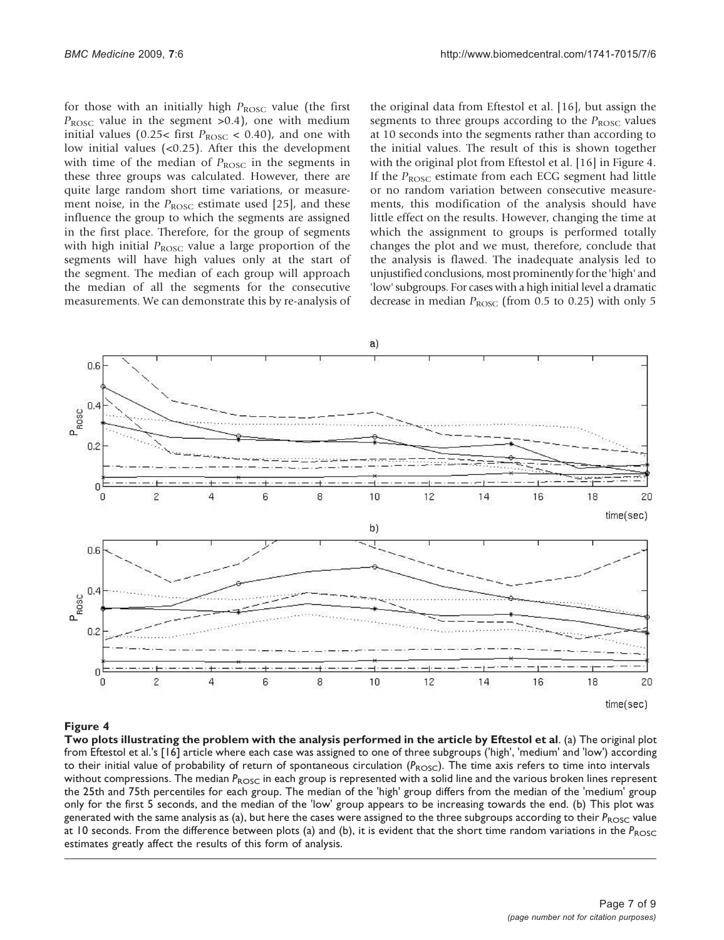for those with an initially high  $P_{\text{ROSC}}$  value (the first  $P_{\text{ROSC}}$  value in the segment >0.4), one with medium initial values (0.25< first  $P_{\text{ROSC}}$  < 0.40), and one with low initial values (<0.25). After this the development with time of the median of  $P_{\text{ROSC}}$  in the segments in these three groups was calculated. However, there are quite large random short time variations, or measurement noise, in the  $P_{\text{ROSC}}$  estimate used [[25\]](#page-8-0), and these influence the group to which the segments are assigned in the first place. Therefore, for the group of segments with high initial  $P_{\text{ROSC}}$  value a large proportion of the segments will have high values only at the start of the segment. The median of each group will approach the median of all the segments for the consecutive measurements. We can demonstrate this by re-analysis of the original data from Eftestol et al. [\[16](#page-8-0)], but assign the segments to three groups according to the  $P_{\text{ROSC}}$  values at 10 seconds into the segments rather than according to the initial values. The result of this is shown together with the original plot from Eftestol et al. [[16\]](#page-8-0) in Figure 4. If the  $P_{\text{ROSC}}$  estimate from each ECG segment had little or no random variation between consecutive measurements, this modification of the analysis should have little effect on the results. However, changing the time at which the assignment to groups is performed totally changes the plot and we must, therefore, conclude that the analysis is flawed. The inadequate analysis led to unjustified conclusions, most prominently for the 'high' and 'low' subgroups. For cases with a high initial level a dramatic decrease in median  $P_{\text{ROSC}}$  (from 0.5 to 0.25) with only 5



## Figure 4

Two plots illustrating the problem with the analysis performed in the article by Eftestol et al. (a) The original plot from Eftestol et al.'s [[16\]](#page-8-0) article where each case was assigned to one of three subgroups ('high', 'medium' and 'low') according to their initial value of probability of return of spontaneous circulation  $(P_{\text{ROSC}})$ . The time axis refers to time into intervals without compressions. The median  $P_{ROSC}$  in each group is represented with a solid line and the various broken lines represent the 25th and 75th percentiles for each group. The median of the 'high' group differs from the median of the 'medium' group only for the first 5 seconds, and the median of the 'low' group appears to be increasing towards the end. (b) This plot was generated with the same analysis as (a), but here the cases were assigned to the three subgroups according to their  $P_{ROSC}$  value at 10 seconds. From the difference between plots (a) and (b), it is evident that the short time random variations in the  $P_{\rm{ROSC}}$ estimates greatly affect the results of this form of analysis.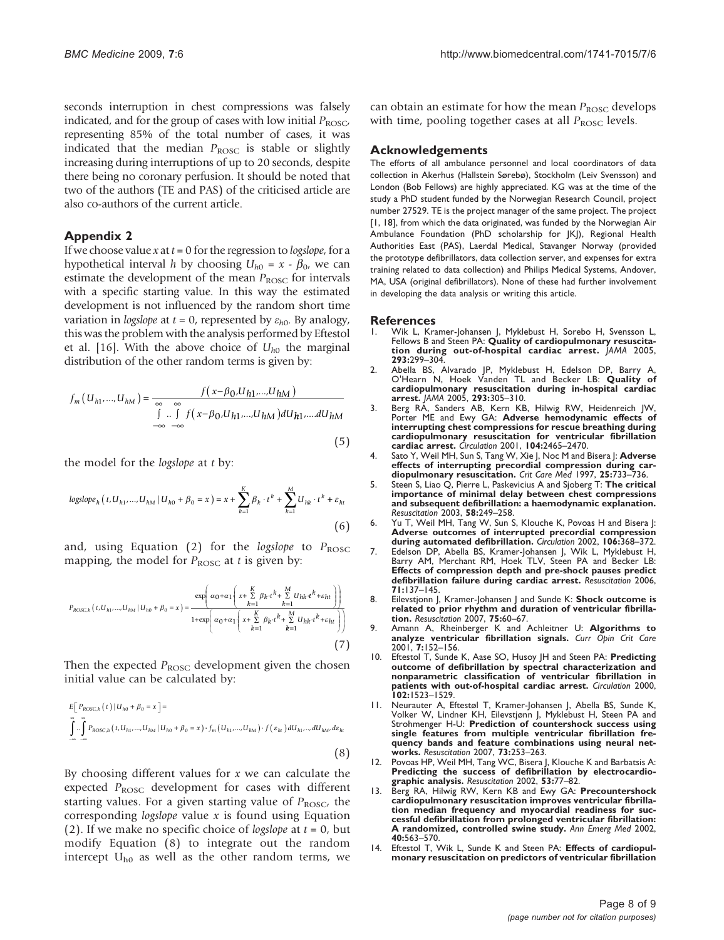<span id="page-7-0"></span>seconds interruption in chest compressions was falsely indicated, and for the group of cases with low initial  $P_{\text{ROSC}}$ representing 85% of the total number of cases, it was indicated that the median  $P_{\text{ROSC}}$  is stable or slightly increasing during interruptions of up to 20 seconds, despite there being no coronary perfusion. It should be noted that two of the authors (TE and PAS) of the criticised article are also co-authors of the current article.

#### Appendix 2

If we choose value x at  $t = 0$  for the regression to *logslope*, for a hypothetical interval h by choosing  $U_{h0} = x - \beta_0$ , we can estimate the development of the mean  $P_{\text{ROSC}}$  for intervals with a specific starting value. In this way the estimated development is not influenced by the random short time variation in *logslope* at  $t = 0$ , represented by  $\varepsilon_{h0}$ . By analogy, this was the problem with the analysis performed by Eftestol et al. [\[16\]](#page-8-0). With the above choice of  $U_{h0}$  the marginal distribution of the other random terms is given by:

$$
f_m(U_{h1},...,U_{hM}) = \frac{f(x-\beta_0,U_{h1},...,U_{hM})}{\int_{-\infty}^{\infty} \int_{-\infty}^{\infty} f(x-\beta_0,U_{h1},...,U_{hM}) dU_{h1},...,dU_{hM}}
$$
(5)

the model for the logslope at t by:

$$
log slope_h(t, U_{h1}, ..., U_{hM} | U_{h0} + \beta_0 = x) = x + \sum_{k=1}^{K} \beta_k \cdot t^k + \sum_{k=1}^{M} U_{hk} \cdot t^k + \varepsilon_{ht}
$$
\n(6)

and, using Equation (2) for the logslope to  $P_{\text{ROSC}}$ mapping, the model for  $P_{\text{ROSC}}$  at t is given by:

$$
P_{ROSC,h}(t, U_{h1},...,U_{hM} | U_{h0} + \beta_0 = x) = \frac{\exp\left(\alpha_0 + \alpha_1 \left(x + \sum_{k=1}^K \beta_k \cdot t^k + \sum_{k=1}^M U_{hk} \cdot t^k + \varepsilon_{ht}\right)\right)}{1 + \exp\left(\alpha_0 + \alpha_1 \left(x + \sum_{k=1}^K \beta_k \cdot t^k + \sum_{k=1}^M U_{hk} \cdot t^k + \varepsilon_{ht}\right)\right)}
$$
(7)

Then the expected  $P_{\text{ROSC}}$  development given the chosen initial value can be calculated by:

$$
E[P_{ROSC,h}(t) | U_{h0} + \beta_0 = x] =
$$
  

$$
\int_{-\infty}^{\infty} \int_{-\infty}^{\infty} P_{ROSC,h}(t, U_{h1}, ..., U_{hM} | U_{h0} + \beta_0 = x) \cdot f_m(U_{h1}, ..., U_{hM}) \cdot f(\varepsilon_{h1}) dU_{h1}, ..., dU_{hM}, d\varepsilon_{h1}
$$
  

$$
\tag{8}
$$

By choosing different values for  $x$  we can calculate the expected  $P_{\text{ROSC}}$  development for cases with different starting values. For a given starting value of  $P_{\text{ROSC}}$ , the corresponding *logslope* value  $x$  is found using Equation (2). If we make no specific choice of *logslope* at  $t = 0$ , but modify Equation (8) to integrate out the random intercept  $U_{h0}$  as well as the other random terms, we

can obtain an estimate for how the mean  $P_{\text{ROSC}}$  develops with time, pooling together cases at all  $P_{\text{ROSC}}$  levels.

#### Acknowledgements

The efforts of all ambulance personnel and local coordinators of data collection in Akerhus (Hallstein Sørebø), Stockholm (Leiv Svensson) and London (Bob Fellows) are highly appreciated. KG was at the time of the study a PhD student funded by the Norwegian Research Council, project number 27529. TE is the project manager of the same project. The project [1, [18](#page-8-0)], from which the data originated, was funded by the Norwegian Air Ambulance Foundation (PhD scholarship for JKJ), Regional Health Authorities East (PAS), Laerdal Medical, Stavanger Norway (provided the prototype defibrillators, data collection server, and expenses for extra training related to data collection) and Philips Medical Systems, Andover, MA, USA (original defibrillators). None of these had further involvement in developing the data analysis or writing this article.

#### References

- Wik L, Kramer-Johansen J, Myklebust H, Sorebo H, Svensson L, Fellows B and Steen PA: [Quality of cardiopulmonary resuscita-](http://www.ncbi.nlm.nih.gov/pubmed/15657322?dopt=Abstract)[tion during out-of-hospital cardiac arrest.](http://www.ncbi.nlm.nih.gov/pubmed/15657322?dopt=Abstract) JAMA 2005, 293:299–304.
- 2. Abella BS, Alvarado JP, Myklebust H, Edelson DP, Barry A, O'Hearn N, Hoek Vanden TL and Becker LB: [Quality of](http://www.ncbi.nlm.nih.gov/pubmed/15657323?dopt=Abstract) [cardiopulmonary resuscitation during in-hospital cardiac](http://www.ncbi.nlm.nih.gov/pubmed/15657323?dopt=Abstract) [arrest.](http://www.ncbi.nlm.nih.gov/pubmed/15657323?dopt=Abstract) JAMA 2005, 293:305–310.
- 3. Berg RA, Sanders AB, Kern KB, Hilwig RW, Heidenreich JW, Porter ME and Ewy GA: [Adverse hemodynamic effects of](http://www.ncbi.nlm.nih.gov/pubmed/11705826?dopt=Abstract) [interrupting chest compressions for rescue breathing during](http://www.ncbi.nlm.nih.gov/pubmed/11705826?dopt=Abstract) [cardiopulmonary resuscitation for ventricular fibrillation](http://www.ncbi.nlm.nih.gov/pubmed/11705826?dopt=Abstract) [cardiac arrest.](http://www.ncbi.nlm.nih.gov/pubmed/11705826?dopt=Abstract) Circulation 2001, 104:2465–2470.
- 4. Sato Y, Weil MH, Sun S, Tang W, Xie J, Noc M and Bisera J: [Adverse](http://www.ncbi.nlm.nih.gov/pubmed/9187589?dopt=Abstract) [effects of interrupting precordial compression during car](http://www.ncbi.nlm.nih.gov/pubmed/9187589?dopt=Abstract)[diopulmonary resuscitation.](http://www.ncbi.nlm.nih.gov/pubmed/9187589?dopt=Abstract) Crit Care Med 1997, 25:733–736.
- 5. Steen S, Liao Q, Pierre L, Paskevicius A and Sjoberg T: [The critical](http://www.ncbi.nlm.nih.gov/pubmed/12969599?dopt=Abstract) [importance of minimal delay between chest compressions](http://www.ncbi.nlm.nih.gov/pubmed/12969599?dopt=Abstract) [and subsequent defibrillation: a haemodynamic explanation.](http://www.ncbi.nlm.nih.gov/pubmed/12969599?dopt=Abstract) Resuscitation 2003, 58:249–258.
- 6. Yu T, Weil MH, Tang W, Sun S, Klouche K, Povoas H and Bisera J: [Adverse outcomes of interrupted precordial compression](http://www.ncbi.nlm.nih.gov/pubmed/12119255?dopt=Abstract) [during automated defibrillation.](http://www.ncbi.nlm.nih.gov/pubmed/12119255?dopt=Abstract) Circulation 2002, 106:368–372.
- 7. Edelson DP, Abella BS, Kramer-Johansen J, Wik L, Myklebust H, Barry AM, Merchant RM, Hoek TLV, Steen PA and Becker LB: [Effects of compression depth and pre-shock pauses predict](http://www.ncbi.nlm.nih.gov/pubmed/16982127?dopt=Abstract) [defibrillation failure during cardiac arrest.](http://www.ncbi.nlm.nih.gov/pubmed/16982127?dopt=Abstract) Resuscitation 2006, 71:137–145.
- 8. Eilevstjonn J, Kramer-Johansen J and Sunde K: [Shock outcome is](http://www.ncbi.nlm.nih.gov/pubmed/17467139?dopt=Abstract) [related to prior rhythm and duration of ventricular fibrilla-](http://www.ncbi.nlm.nih.gov/pubmed/17467139?dopt=Abstract)[tion.](http://www.ncbi.nlm.nih.gov/pubmed/17467139?dopt=Abstract) Resuscitation 2007, 75:60–67.
- 9. Amann A, Rheinberger K and Achleitner U: [Algorithms to](http://www.ncbi.nlm.nih.gov/pubmed/11436521?dopt=Abstract) [analyze ventricular fibrillation signals.](http://www.ncbi.nlm.nih.gov/pubmed/11436521?dopt=Abstract) Curr  $\overline{O}$ pin Crit Care 2001, 7:152–156.
- Eftestol T, Sunde K, Aase SO, Husoy JH and Steen PA: [Predicting](http://www.ncbi.nlm.nih.gov/pubmed/11004143?dopt=Abstract) [outcome of defibrillation by spectral characterization and](http://www.ncbi.nlm.nih.gov/pubmed/11004143?dopt=Abstract) [nonparametric classification of ventricular fibrillation in](http://www.ncbi.nlm.nih.gov/pubmed/11004143?dopt=Abstract) [patients with out-of-hospital cardiac arrest.](http://www.ncbi.nlm.nih.gov/pubmed/11004143?dopt=Abstract) Circulation 2000, 102:1523–1529.
- 11. Neurauter A, Eftestøl T, Kramer-Johansen J, Abella BS, Sunde K, Volker W, Lindner KH, Eilevstjønn J, Myklebust H, Steen PA and Strohmenger H-U: [Prediction of countershock success using](http://www.ncbi.nlm.nih.gov/pubmed/17287063?dopt=Abstract) [single features from multiple ventricular fibrillation fre](http://www.ncbi.nlm.nih.gov/pubmed/17287063?dopt=Abstract)[quency bands and feature combinations using neural net](http://www.ncbi.nlm.nih.gov/pubmed/17287063?dopt=Abstract)[works.](http://www.ncbi.nlm.nih.gov/pubmed/17287063?dopt=Abstract) Resuscitation 2007, 73:253–263.
- 12. Povoas HP, Weil MH, Tang WC, Bisera J, Klouche K and Barbatsis A: [Predicting the success of defibrillation by electrocardio-](http://www.ncbi.nlm.nih.gov/pubmed/11947983?dopt=Abstract)[graphic analysis.](http://www.ncbi.nlm.nih.gov/pubmed/11947983?dopt=Abstract) Resuscitation 2002, 53:77–82.
- 13. Berg RA, Hilwig RW, Kern KB and Ewy GA: [Precountershock](http://www.ncbi.nlm.nih.gov/pubmed/12447331?dopt=Abstract) [cardiopulmonary resuscitation improves ventricular fibrilla](http://www.ncbi.nlm.nih.gov/pubmed/12447331?dopt=Abstract)[tion median frequency and myocardial readiness for suc](http://www.ncbi.nlm.nih.gov/pubmed/12447331?dopt=Abstract)[cessful defibrillation from prolonged ventricular fibrillation:](http://www.ncbi.nlm.nih.gov/pubmed/12447331?dopt=Abstract) [A randomized, controlled swine study.](http://www.ncbi.nlm.nih.gov/pubmed/12447331?dopt=Abstract) Ann Emerg Med 2002, 40:563–570.
- Eftestol T, Wik L, Sunde K and Steen PA: [Effects of cardiopul](http://www.ncbi.nlm.nih.gov/pubmed/15210599?dopt=Abstract)[monary resuscitation on predictors of ventricular fibrillation](http://www.ncbi.nlm.nih.gov/pubmed/15210599?dopt=Abstract)